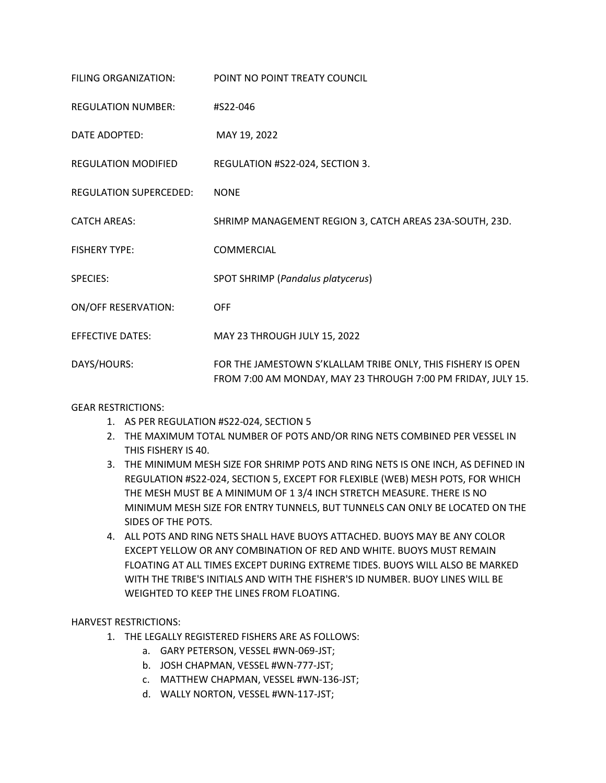| FILING ORGANIZATION:          | POINT NO POINT TREATY COUNCIL                                                                                                |
|-------------------------------|------------------------------------------------------------------------------------------------------------------------------|
| <b>REGULATION NUMBER:</b>     | #S22-046                                                                                                                     |
| DATE ADOPTED:                 | MAY 19, 2022                                                                                                                 |
| <b>REGULATION MODIFIED</b>    | REGULATION #S22-024, SECTION 3.                                                                                              |
| <b>REGULATION SUPERCEDED:</b> | <b>NONE</b>                                                                                                                  |
| <b>CATCH AREAS:</b>           | SHRIMP MANAGEMENT REGION 3, CATCH AREAS 23A-SOUTH, 23D.                                                                      |
| <b>FISHERY TYPE:</b>          | <b>COMMERCIAL</b>                                                                                                            |
| <b>SPECIES:</b>               | SPOT SHRIMP (Pandalus platycerus)                                                                                            |
| <b>ON/OFF RESERVATION:</b>    | <b>OFF</b>                                                                                                                   |
| <b>EFFECTIVE DATES:</b>       | MAY 23 THROUGH JULY 15, 2022                                                                                                 |
| DAYS/HOURS:                   | FOR THE JAMESTOWN S'KLALLAM TRIBE ONLY, THIS FISHERY IS OPEN<br>FROM 7:00 AM MONDAY, MAY 23 THROUGH 7:00 PM FRIDAY, JULY 15. |

## GEAR RESTRICTIONS:

- 1. AS PER REGULATION #S22-024, SECTION 5
- 2. THE MAXIMUM TOTAL NUMBER OF POTS AND/OR RING NETS COMBINED PER VESSEL IN THIS FISHERY IS 40.
- 3. THE MINIMUM MESH SIZE FOR SHRIMP POTS AND RING NETS IS ONE INCH, AS DEFINED IN REGULATION #S22-024, SECTION 5, EXCEPT FOR FLEXIBLE (WEB) MESH POTS, FOR WHICH THE MESH MUST BE A MINIMUM OF 1 3/4 INCH STRETCH MEASURE. THERE IS NO MINIMUM MESH SIZE FOR ENTRY TUNNELS, BUT TUNNELS CAN ONLY BE LOCATED ON THE SIDES OF THE POTS.
- 4. ALL POTS AND RING NETS SHALL HAVE BUOYS ATTACHED. BUOYS MAY BE ANY COLOR EXCEPT YELLOW OR ANY COMBINATION OF RED AND WHITE. BUOYS MUST REMAIN FLOATING AT ALL TIMES EXCEPT DURING EXTREME TIDES. BUOYS WILL ALSO BE MARKED WITH THE TRIBE'S INITIALS AND WITH THE FISHER'S ID NUMBER. BUOY LINES WILL BE WEIGHTED TO KEEP THE LINES FROM FLOATING.

## HARVEST RESTRICTIONS:

- 1. THE LEGALLY REGISTERED FISHERS ARE AS FOLLOWS:
	- a. GARY PETERSON, VESSEL #WN-069-JST;
	- b. JOSH CHAPMAN, VESSEL #WN-777-JST;
	- c. MATTHEW CHAPMAN, VESSEL #WN-136-JST;
	- d. WALLY NORTON, VESSEL #WN-117-JST;